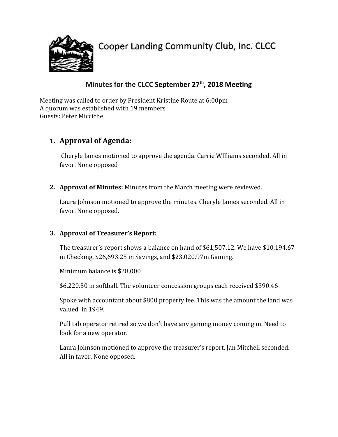

Cooper Landing Community Club, Inc. CLCC

# **Minutes for the CLCC September 27 th , 2018 Meeting**

Meeting was called to order by President Kristine Route at 6:00pm A quorum was established with 19 members Guests: Peter Micciche

## **1. Approval of Agenda:**

Cheryle James motioned to approve the agenda. Carrie WIlliams seconded. All in favor. None opposed

**2. Approval of Minutes:** Minutes from the March meeting were reviewed.

Laura Johnson motioned to approve the minutes. Cheryle James seconded. All in favor. None opposed.

#### **3. Approval of Treasurer's Report:**

The treasurer's report shows a balance on hand of \$61,507.12. We have \$10,194.67 in Checking, \$26,693.25 in Savings, and \$23,020.97in Gaming.

Minimum balance is \$28,000

\$6,220.50 in softball. The volunteer concession groups each received \$390.46

Spoke with accountant about \$800 property fee. This was the amount the land was valued in 1949.

Pull tab operator retired so we don't have any gaming money coming in. Need to look for a new operator.

Laura Johnson motioned to approve the treasurer's report. Jan Mitchell seconded. All in favor. None opposed.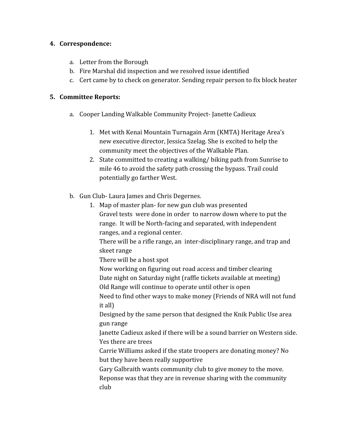#### **4. Correspondence:**

- a. Letter from the Borough
- b. Fire Marshal did inspection and we resolved issue identified
- c. Cert came by to check on generator. Sending repair person to fix block heater

#### **5. Committee Reports:**

a. Cooper Landing Walkable Community Project- Janette Cadieux

1. Map of master plan- for new gun club was presented

- 1. Met with Kenai Mountain Turnagain Arm (KMTA) Heritage Area's new executive director, Jessica Szelag. She is excited to help the community meet the objectives of the Walkable Plan.
- 2. State committed to creating a walking/ biking path from Sunrise to mile 46 to avoid the safety path crossing the bypass. Trail could potentially go farther West.
- b. Gun Club- Laura James and Chris Degernes.
	- Gravel tests were done in order to narrow down where to put the range. It will be North-facing and separated, with independent ranges, and a regional center. There will be a rifle range, an inter-disciplinary range, and trap and skeet range There will be a host spot Now working on figuring out road access and timber clearing Date night on Saturday night (raffle tickets available at meeting) Old Range will continue to operate until other is open Need to find other ways to make money (Friends of NRA will not fund it all) Designed by the same person that designed the Knik Public Use area gun range Janette Cadieux asked if there will be a sound barrier on Western side. Yes there are trees Carrie Williams asked if the state troopers are donating money? No but they have been really supportive Gary Galbraith wants community club to give money to the move. Reponse was that they are in revenue sharing with the community club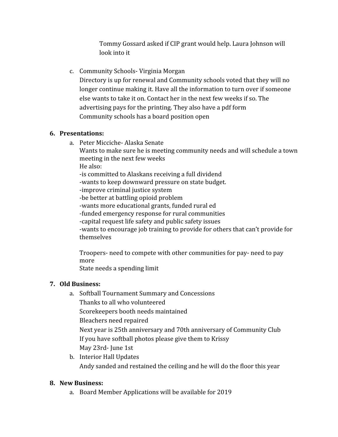Tommy Gossard asked if CIP grant would help. Laura Johnson will look into it

### c. Community Schools- Virginia Morgan

Directory is up for renewal and Community schools voted that they will no longer continue making it. Have all the information to turn over if someone else wants to take it on. Contact her in the next few weeks if so. The advertising pays for the printing. They also have a pdf form Community schools has a board position open

#### **6. Presentations:**

a. Peter Micciche- Alaska Senate

Wants to make sure he is meeting community needs and will schedule a town meeting in the next few weeks

He also:

-is committed to Alaskans receiving a full dividend

-wants to keep downward pressure on state budget.

-improve criminal justice system

-be better at battling opioid problem

-wants more educational grants, funded rural ed

-funded emergency response for rural communities

-capital request life safety and public safety issues

-wants to encourage job training to provide for others that can't provide for themselves

Troopers- need to compete with other communities for pay- need to pay more

State needs a spending limit

#### **7. Old Business:**

- a. Softball Tournament Summary and Concessions Thanks to all who volunteered Scorekeepers booth needs maintained Bleachers need repaired Next year is 25th anniversary and 70th anniversary of Community Club If you have softball photos please give them to Krissy May 23rd- June 1st
- b. Interior Hall Updates Andy sanded and restained the ceiling and he will do the floor this year

#### **8. New Business:**

a. Board Member Applications will be available for 2019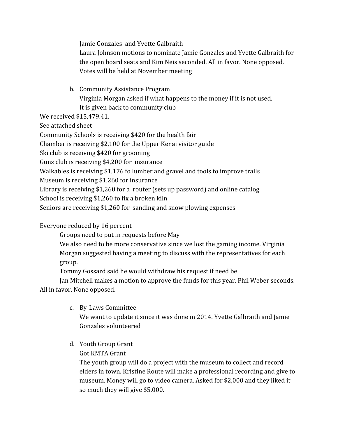Jamie Gonzales and Yvette Galbraith

Laura Johnson motions to nominate Jamie Gonzales and Yvette Galbraith for the open board seats and Kim Neis seconded. All in favor. None opposed. Votes will be held at November meeting

b. Community Assistance Program Virginia Morgan asked if what happens to the money if it is not used. It is given back to community club

We received \$15,479.41.

See attached sheet

Community Schools is receiving \$420 for the health fair

Chamber is receiving \$2,100 for the Upper Kenai visitor guide

Ski club is receiving \$420 for grooming

Guns club is receiving \$4,200 for insurance

Walkables is receiving \$1,176 fo lumber and gravel and tools to improve trails

Museum is receiving \$1,260 for insurance

Library is receiving \$1,260 for a router (sets up password) and online catalog

School is receiving \$1,260 to fix a broken kiln

Seniors are receiving \$1,260 for sanding and snow plowing expenses

## Everyone reduced by 16 percent

Groups need to put in requests before May

We also need to be more conservative since we lost the gaming income. Virginia Morgan suggested having a meeting to discuss with the representatives for each group.

Tommy Gossard said he would withdraw his request if need be

Jan Mitchell makes a motion to approve the funds for this year. Phil Weber seconds. All in favor. None opposed.

- c. By-Laws Committee We want to update it since it was done in 2014. Yvette Galbraith and Jamie Gonzales volunteered
- d. Youth Group Grant
	- Got KMTA Grant

The youth group will do a project with the museum to collect and record elders in town. Kristine Route will make a professional recording and give to museum. Money will go to video camera. Asked for \$2,000 and they liked it so much they will give \$5,000.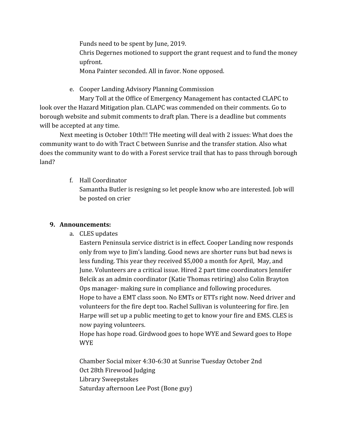Funds need to be spent by June, 2019. Chris Degernes motioned to support the grant request and to fund the money upfront. Mona Painter seconded. All in favor. None opposed.

e. Cooper Landing Advisory Planning Commission

Mary Toll at the Office of Emergency Management has contacted CLAPC to look over the Hazard Mitigation plan. CLAPC was commended on their comments. Go to borough website and submit comments to draft plan. There is a deadline but comments will be accepted at any time.

Next meeting is October 10th!!! THe meeting will deal with 2 issues: What does the community want to do with Tract C between Sunrise and the transfer station. Also what does the community want to do with a Forest service trail that has to pass through borough land?

f. Hall Coordinator

Samantha Butler is resigning so let people know who are interested. Job will be posted on crier

## **9. Announcements:**

a. CLES updates

Eastern Peninsula service district is in effect. Cooper Landing now responds only from wye to Jim's landing. Good news are shorter runs but bad news is less funding. This year they received \$5,000 a month for April, May, and June. Volunteers are a critical issue. Hired 2 part time coordinators Jennifer Belcik as an admin coordinator (Katie Thomas retiring) also Colin Brayton Ops manager- making sure in compliance and following procedures. Hope to have a EMT class soon. No EMTs or ETTs right now. Need driver and volunteers for the fire dept too. Rachel Sullivan is volunteering for fire. Jen Harpe will set up a public meeting to get to know your fire and EMS. CLES is now paying volunteers.

Hope has hope road. Girdwood goes to hope WYE and Seward goes to Hope WYE

Chamber Social mixer 4:30-6:30 at Sunrise Tuesday October 2nd Oct 28th Firewood Judging Library Sweepstakes Saturday afternoon Lee Post (Bone guy)